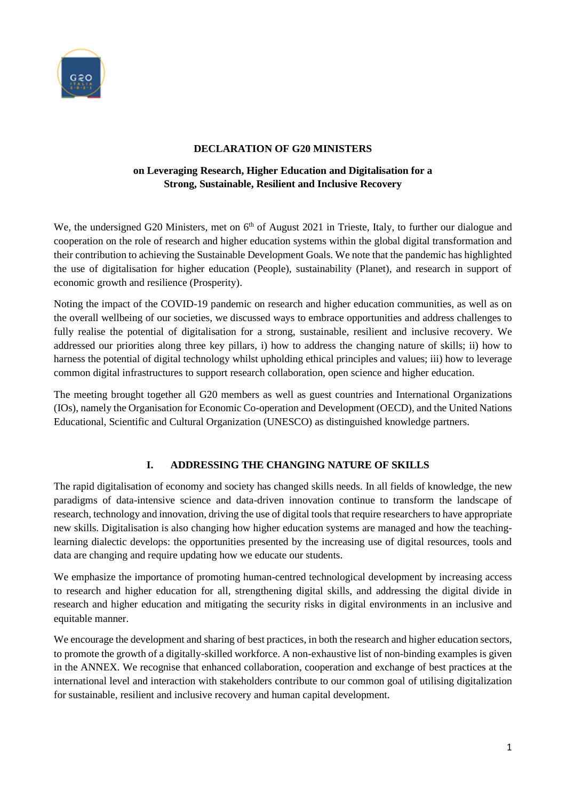

## **DECLARATION OF G20 MINISTERS**

# **on Leveraging Research, Higher Education and Digitalisation for a Strong, Sustainable, Resilient and Inclusive Recovery**

We, the undersigned G20 Ministers, met on 6<sup>th</sup> of August 2021 in Trieste, Italy, to further our dialogue and cooperation on the role of research and higher education systems within the global digital transformation and their contribution to achieving the Sustainable Development Goals. We note that the pandemic has highlighted the use of digitalisation for higher education (People), sustainability (Planet), and research in support of economic growth and resilience (Prosperity).

Noting the impact of the COVID-19 pandemic on research and higher education communities, as well as on the overall wellbeing of our societies, we discussed ways to embrace opportunities and address challenges to fully realise the potential of digitalisation for a strong, sustainable, resilient and inclusive recovery. We addressed our priorities along three key pillars, i) how to address the changing nature of skills; ii) how to harness the potential of digital technology whilst upholding ethical principles and values; iii) how to leverage common digital infrastructures to support research collaboration, open science and higher education.

The meeting brought together all G20 members as well as guest countries and International Organizations (IOs), namely the Organisation for Economic Co-operation and Development (OECD), and the United Nations Educational, Scientific and Cultural Organization (UNESCO) as distinguished knowledge partners.

# **I. ADDRESSING THE CHANGING NATURE OF SKILLS**

The rapid digitalisation of economy and society has changed skills needs. In all fields of knowledge, the new paradigms of data-intensive science and data-driven innovation continue to transform the landscape of research, technology and innovation, driving the use of digital tools that require researchers to have appropriate new skills. Digitalisation is also changing how higher education systems are managed and how the teachinglearning dialectic develops: the opportunities presented by the increasing use of digital resources, tools and data are changing and require updating how we educate our students.

We emphasize the importance of promoting human-centred technological development by increasing access to research and higher education for all, strengthening digital skills, and addressing the digital divide in research and higher education and mitigating the security risks in digital environments in an inclusive and equitable manner.

We encourage the development and sharing of best practices, in both the research and higher education sectors, to promote the growth of a digitally-skilled workforce. A non-exhaustive list of non-binding examples is given in the ANNEX. We recognise that enhanced collaboration, cooperation and exchange of best practices at the international level and interaction with stakeholders contribute to our common goal of utilising digitalization for sustainable, resilient and inclusive recovery and human capital development.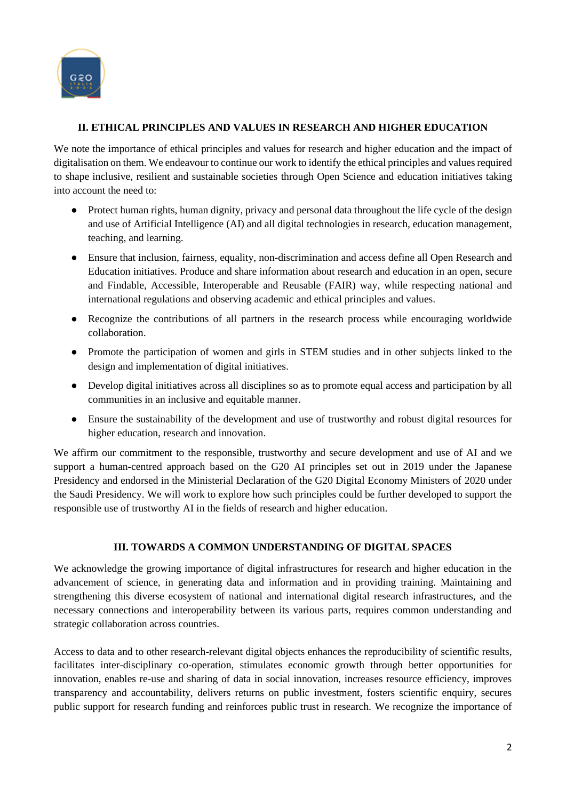

# **II. ETHICAL PRINCIPLES AND VALUES IN RESEARCH AND HIGHER EDUCATION**

We note the importance of ethical principles and values for research and higher education and the impact of digitalisation on them. We endeavour to continue our work to identify the ethical principles and values required to shape inclusive, resilient and sustainable societies through Open Science and education initiatives taking into account the need to:

- Protect human rights, human dignity, privacy and personal data throughout the life cycle of the design and use of Artificial Intelligence (AI) and all digital technologies in research, education management, teaching, and learning.
- Ensure that inclusion, fairness, equality, non-discrimination and access define all Open Research and Education initiatives. Produce and share information about research and education in an open, secure and Findable, Accessible, Interoperable and Reusable (FAIR) way, while respecting national and international regulations and observing academic and ethical principles and values.
- Recognize the contributions of all partners in the research process while encouraging worldwide collaboration.
- Promote the participation of women and girls in STEM studies and in other subjects linked to the design and implementation of digital initiatives.
- Develop digital initiatives across all disciplines so as to promote equal access and participation by all communities in an inclusive and equitable manner.
- Ensure the sustainability of the development and use of trustworthy and robust digital resources for higher education, research and innovation.

We affirm our commitment to the responsible, trustworthy and secure development and use of AI and we support a human-centred approach based on the G20 AI principles set out in 2019 under the Japanese Presidency and endorsed in the Ministerial Declaration of the G20 Digital Economy Ministers of 2020 under the Saudi Presidency. We will work to explore how such principles could be further developed to support the responsible use of trustworthy AI in the fields of research and higher education.

# **III. TOWARDS A COMMON UNDERSTANDING OF DIGITAL SPACES**

We acknowledge the growing importance of digital infrastructures for research and higher education in the advancement of science, in generating data and information and in providing training. Maintaining and strengthening this diverse ecosystem of national and international digital research infrastructures, and the necessary connections and interoperability between its various parts, requires common understanding and strategic collaboration across countries.

Access to data and to other research-relevant digital objects enhances the reproducibility of scientific results, facilitates inter-disciplinary co-operation, stimulates economic growth through better opportunities for innovation, enables re-use and sharing of data in social innovation, increases resource efficiency, improves transparency and accountability, delivers returns on public investment, fosters scientific enquiry, secures public support for research funding and reinforces public trust in research. We recognize the importance of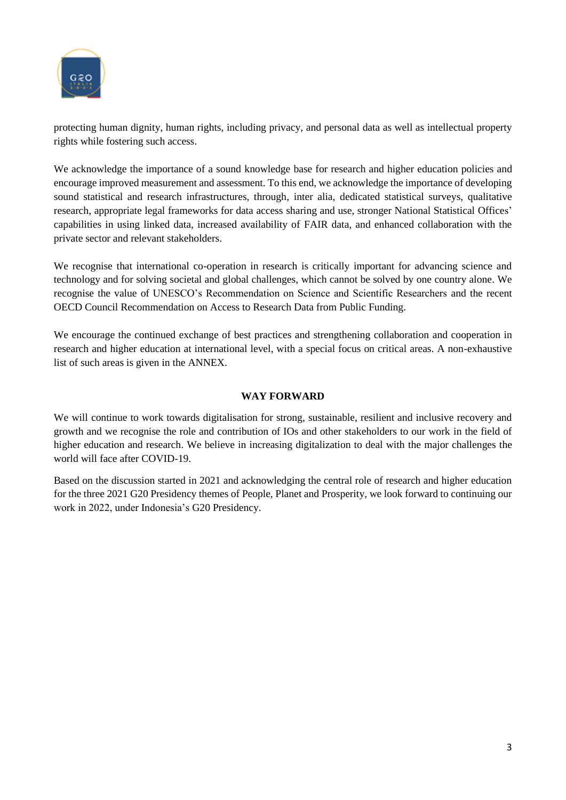

protecting human dignity, human rights, including privacy, and personal data as well as intellectual property rights while fostering such access.

We acknowledge the importance of a sound knowledge base for research and higher education policies and encourage improved measurement and assessment. To this end, we acknowledge the importance of developing sound statistical and research infrastructures, through, inter alia, dedicated statistical surveys, qualitative research, appropriate legal frameworks for data access sharing and use, stronger National Statistical Offices' capabilities in using linked data, increased availability of FAIR data, and enhanced collaboration with the private sector and relevant stakeholders.

We recognise that international co-operation in research is critically important for advancing science and technology and for solving societal and global challenges, which cannot be solved by one country alone. We recognise the value of [UNESCO's Recommendation on Science and Scientific Researchers](https://en.unesco.org/themes/ethics-science-and-technology/recommendation_science) and the recent OECD Council Recommendation on Access to Research Data from Public Funding.

We encourage the continued exchange of best practices and strengthening collaboration and cooperation in research and higher education at international level, with a special focus on critical areas. A non-exhaustive list of such areas is given in the ANNEX.

#### **WAY FORWARD**

We will continue to work towards digitalisation for strong, sustainable, resilient and inclusive recovery and growth and we recognise the role and contribution of IOs and other stakeholders to our work in the field of higher education and research. We believe in increasing digitalization to deal with the major challenges the world will face after COVID-19.

Based on the discussion started in 2021 and acknowledging the central role of research and higher education for the three 2021 G20 Presidency themes of People, Planet and Prosperity, we look forward to continuing our work in 2022, under Indonesia's G20 Presidency.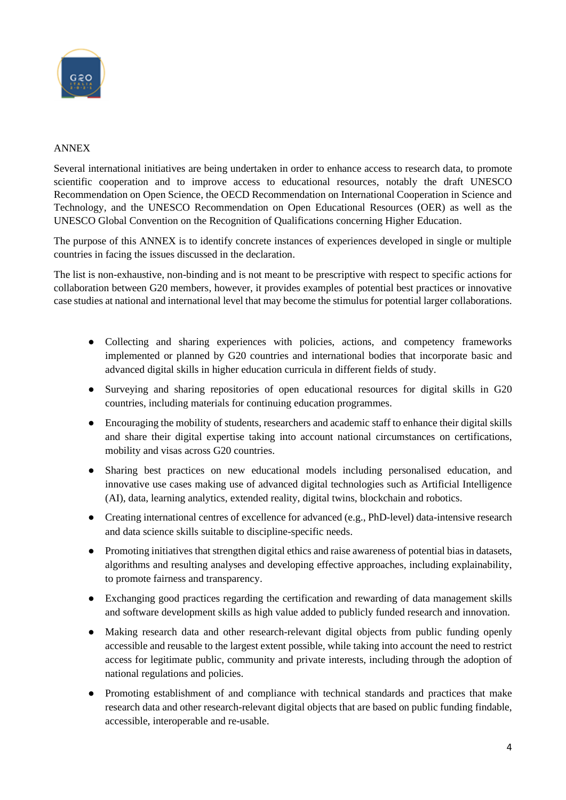

## ANNEX

Several international initiatives are being undertaken in order to enhance access to research data, to promote scientific cooperation and to improve access to educational resources, notably the draft UNESCO Recommendation on Open Science, the OECD Recommendation on International Cooperation in Science and Technology, and the [UNESCO Recommendation on Open Educational Resources \(OER\)](http://portal.unesco.org/en/ev.php-URL_ID=49556&URL_DO=DO_TOPIC&URL_SECTION=201.html) as well as the [UNESCO Global Convention on the Recognition of Qualifications concerning Higher Education.](http://portal.unesco.org/en/ev.php-URL_ID=13516&URL_DO=DO_TOPIC&URL_SECTION=201.html)

The purpose of this ANNEX is to identify concrete instances of experiences developed in single or multiple countries in facing the issues discussed in the declaration.

The list is non-exhaustive, non-binding and is not meant to be prescriptive with respect to specific actions for collaboration between G20 members, however, it provides examples of potential best practices or innovative case studies at national and international level that may become the stimulus for potential larger collaborations.

- Collecting and sharing experiences with policies, actions, and competency frameworks implemented or planned by G20 countries and international bodies that incorporate basic and advanced digital skills in higher education curricula in different fields of study.
- Surveying and sharing repositories of open educational resources for digital skills in G20 countries, including materials for continuing education programmes.
- Encouraging the mobility of students, researchers and academic staff to enhance their digital skills and share their digital expertise taking into account national circumstances on certifications, mobility and visas across G20 countries.
- Sharing best practices on new educational models including personalised education, and innovative use cases making use of advanced digital technologies such as Artificial Intelligence (AI), data, learning analytics, extended reality, digital twins, blockchain and robotics.
- Creating international centres of excellence for advanced (e.g., PhD-level) data-intensive research and data science skills suitable to discipline-specific needs.
- Promoting initiatives that strengthen digital ethics and raise awareness of potential bias in datasets, algorithms and resulting analyses and developing effective approaches, including explainability, to promote fairness and transparency.
- Exchanging good practices regarding the certification and rewarding of data management skills and software development skills as high value added to publicly funded research and innovation.
- Making research data and other research-relevant digital objects from public funding openly accessible and reusable to the largest extent possible, while taking into account the need to restrict access for legitimate public, community and private interests, including through the adoption of national regulations and policies.
- Promoting establishment of and compliance with technical standards and practices that make research data and other research-relevant digital objects that are based on public funding findable, accessible, interoperable and re-usable.